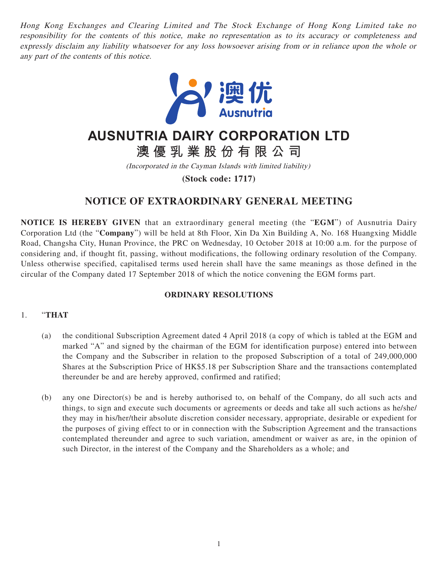Hong Kong Exchanges and Clearing Limited and The Stock Exchange of Hong Kong Limited take no responsibility for the contents of this notice, make no representation as to its accuracy or completeness and expressly disclaim any liability whatsoever for any loss howsoever arising from or in reliance upon the whole or any part of the contents of this notice.



# **AUSNUTRIA DAIRY CORPORATION LTD**

**澳優乳業股份有限公司**

(Incorporated in the Cayman Islands with limited liability)

**(Stock code: 1717)**

## **NOTICE OF EXTRAORDINARY GENERAL MEETING**

**NOTICE IS HEREBY GIVEN** that an extraordinary general meeting (the "**EGM**") of Ausnutria Dairy Corporation Ltd (the "**Company**") will be held at 8th Floor, Xin Da Xin Building A, No. 168 Huangxing Middle Road, Changsha City, Hunan Province, the PRC on Wednesday, 10 October 2018 at 10:00 a.m. for the purpose of considering and, if thought fit, passing, without modifications, the following ordinary resolution of the Company. Unless otherwise specified, capitalised terms used herein shall have the same meanings as those defined in the circular of the Company dated 17 September 2018 of which the notice convening the EGM forms part.

### **ORDINARY RESOLUTIONS**

#### 1. "**THAT**

- (a) the conditional Subscription Agreement dated 4 April 2018 (a copy of which is tabled at the EGM and marked "A" and signed by the chairman of the EGM for identification purpose) entered into between the Company and the Subscriber in relation to the proposed Subscription of a total of 249,000,000 Shares at the Subscription Price of HK\$5.18 per Subscription Share and the transactions contemplated thereunder be and are hereby approved, confirmed and ratified;
- (b) any one Director(s) be and is hereby authorised to, on behalf of the Company, do all such acts and things, to sign and execute such documents or agreements or deeds and take all such actions as he/she/ they may in his/her/their absolute discretion consider necessary, appropriate, desirable or expedient for the purposes of giving effect to or in connection with the Subscription Agreement and the transactions contemplated thereunder and agree to such variation, amendment or waiver as are, in the opinion of such Director, in the interest of the Company and the Shareholders as a whole; and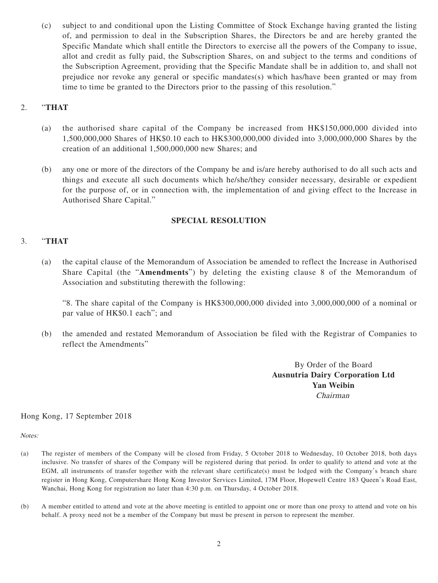(c) subject to and conditional upon the Listing Committee of Stock Exchange having granted the listing of, and permission to deal in the Subscription Shares, the Directors be and are hereby granted the Specific Mandate which shall entitle the Directors to exercise all the powers of the Company to issue, allot and credit as fully paid, the Subscription Shares, on and subject to the terms and conditions of the Subscription Agreement, providing that the Specific Mandate shall be in addition to, and shall not prejudice nor revoke any general or specific mandates(s) which has/have been granted or may from time to time be granted to the Directors prior to the passing of this resolution."

### 2. "**THAT**

- (a) the authorised share capital of the Company be increased from HK\$150,000,000 divided into 1,500,000,000 Shares of HK\$0.10 each to HK\$300,000,000 divided into 3,000,000,000 Shares by the creation of an additional 1,500,000,000 new Shares; and
- (b) any one or more of the directors of the Company be and is/are hereby authorised to do all such acts and things and execute all such documents which he/she/they consider necessary, desirable or expedient for the purpose of, or in connection with, the implementation of and giving effect to the Increase in Authorised Share Capital."

#### **SPECIAL RESOLUTION**

#### 3. "**THAT**

(a) the capital clause of the Memorandum of Association be amended to reflect the Increase in Authorised Share Capital (the "**Amendments**") by deleting the existing clause 8 of the Memorandum of Association and substituting therewith the following:

"8. The share capital of the Company is HK\$300,000,000 divided into 3,000,000,000 of a nominal or par value of HK\$0.1 each"; and

(b) the amended and restated Memorandum of Association be filed with the Registrar of Companies to reflect the Amendments"

> By Order of the Board **Ausnutria Dairy Corporation Ltd Yan Weibin** Chairman

#### Hong Kong, 17 September 2018

Notes:

- (a) The register of members of the Company will be closed from Friday, 5 October 2018 to Wednesday, 10 October 2018, both days inclusive. No transfer of shares of the Company will be registered during that period. In order to qualify to attend and vote at the EGM, all instruments of transfer together with the relevant share certificate(s) must be lodged with the Company's branch share register in Hong Kong, Computershare Hong Kong Investor Services Limited, 17M Floor, Hopewell Centre 183 Queen's Road East, Wanchai, Hong Kong for registration no later than 4:30 p.m. on Thursday, 4 October 2018.
- (b) A member entitled to attend and vote at the above meeting is entitled to appoint one or more than one proxy to attend and vote on his behalf. A proxy need not be a member of the Company but must be present in person to represent the member.